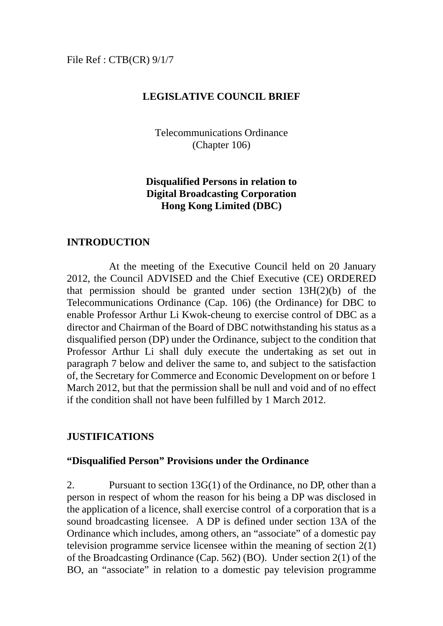#### File Ref : CTB(CR) 9/1/7

#### **LEGISLATIVE COUNCIL BRIEF**

Telecommunications Ordinance (Chapter 106)

### **Disqualified Persons in relation to Digital Broadcasting Corporation Hong Kong Limited (DBC)**

#### **INTRODUCTION**

 At the meeting of the Executive Council held on 20 January 2012, the Council ADVISED and the Chief Executive (CE) ORDERED that permission should be granted under section 13H(2)(b) of the Telecommunications Ordinance (Cap. 106) (the Ordinance) for DBC to enable Professor Arthur Li Kwok-cheung to exercise control of DBC as a director and Chairman of the Board of DBC notwithstanding his status as a disqualified person (DP) under the Ordinance, subject to the condition that Professor Arthur Li shall duly execute the undertaking as set out in paragraph 7 below and deliver the same to, and subject to the satisfaction of, the Secretary for Commerce and Economic Development on or before 1 March 2012, but that the permission shall be null and void and of no effect if the condition shall not have been fulfilled by 1 March 2012.

#### **JUSTIFICATIONS**

#### **"Disqualified Person" Provisions under the Ordinance**

2. Pursuant to section 13G(1) of the Ordinance, no DP, other than a person in respect of whom the reason for his being a DP was disclosed in the application of a licence, shall exercise control of a corporation that is a sound broadcasting licensee. A DP is defined under section 13A of the Ordinance which includes, among others, an "associate" of a domestic pay television programme service licensee within the meaning of section 2(1) of the Broadcasting Ordinance (Cap. 562) (BO). Under section 2(1) of the BO, an "associate" in relation to a domestic pay television programme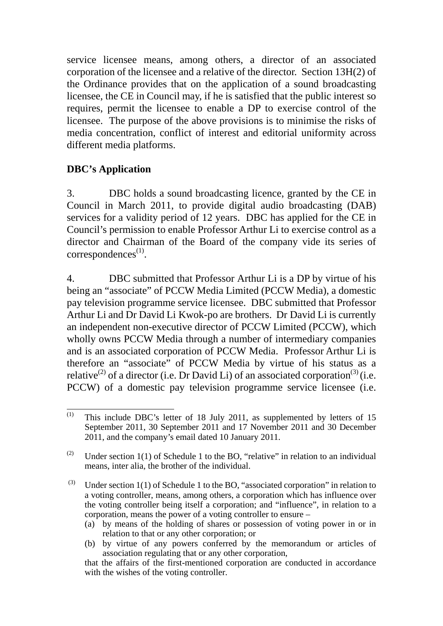service licensee means, among others, a director of an associated corporation of the licensee and a relative of the director. Section 13H(2) of the Ordinance provides that on the application of a sound broadcasting licensee, the CE in Council may, if he is satisfied that the public interest so requires, permit the licensee to enable a DP to exercise control of the licensee. The purpose of the above provisions is to minimise the risks of media concentration, conflict of interest and editorial uniformity across different media platforms.

## **DBC's Application**

3. DBC holds a sound broadcasting licence, granted by the CE in Council in March 2011, to provide digital audio broadcasting (DAB) services for a validity period of 12 years. DBC has applied for the CE in Council's permission to enable Professor Arthur Li to exercise control as a director and Chairman of the Board of the company vide its series of  $correspondences<sup>(1)</sup>$ .

4. DBC submitted that Professor Arthur Li is a DP by virtue of his being an "associate" of PCCW Media Limited (PCCW Media), a domestic pay television programme service licensee. DBC submitted that Professor Arthur Li and Dr David Li Kwok-po are brothers. Dr David Li is currently an independent non-executive director of PCCW Limited (PCCW), which wholly owns PCCW Media through a number of intermediary companies and is an associated corporation of PCCW Media. Professor Arthur Li is therefore an "associate" of PCCW Media by virtue of his status as a relative<sup>(2)</sup> of a director (i.e. Dr David Li) of an associated corporation<sup>(3)</sup> (i.e. PCCW) of a domestic pay television programme service licensee (i.e.

- (a) by means of the holding of shares or possession of voting power in or in relation to that or any other corporation; or
- (b) by virtue of any powers conferred by the memorandum or articles of association regulating that or any other corporation,

 $\overline{(1)}$ This include DBC's letter of 18 July 2011, as supplemented by letters of 15 September 2011, 30 September 2011 and 17 November 2011 and 30 December 2011, and the company's email dated 10 January 2011.

<sup>(2)</sup> Under section 1(1) of Schedule 1 to the BO, "relative" in relation to an individual means, inter alia, the brother of the individual.

<sup>(3)</sup> Under section  $1(1)$  of Schedule 1 to the BO, "associated corporation" in relation to a voting controller, means, among others, a corporation which has influence over the voting controller being itself a corporation; and "influence", in relation to a corporation, means the power of a voting controller to ensure –

that the affairs of the first-mentioned corporation are conducted in accordance with the wishes of the voting controller.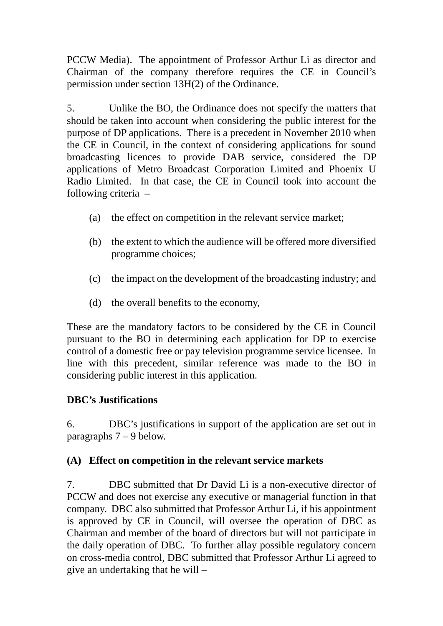PCCW Media). The appointment of Professor Arthur Li as director and Chairman of the company therefore requires the CE in Council's permission under section 13H(2) of the Ordinance.

5. Unlike the BO, the Ordinance does not specify the matters that should be taken into account when considering the public interest for the purpose of DP applications. There is a precedent in November 2010 when the CE in Council, in the context of considering applications for sound broadcasting licences to provide DAB service, considered the DP applications of Metro Broadcast Corporation Limited and Phoenix U Radio Limited. In that case, the CE in Council took into account the following criteria –

- (a) the effect on competition in the relevant service market;
- (b) the extent to which the audience will be offered more diversified programme choices;
- (c) the impact on the development of the broadcasting industry; and
- (d) the overall benefits to the economy,

These are the mandatory factors to be considered by the CE in Council pursuant to the BO in determining each application for DP to exercise control of a domestic free or pay television programme service licensee. In line with this precedent, similar reference was made to the BO in considering public interest in this application.

# **DBC's Justifications**

6. DBC's justifications in support of the application are set out in paragraphs 7 – 9 below.

## **(A) Effect on competition in the relevant service markets**

7. DBC submitted that Dr David Li is a non-executive director of PCCW and does not exercise any executive or managerial function in that company. DBC also submitted that Professor Arthur Li, if his appointment is approved by CE in Council, will oversee the operation of DBC as Chairman and member of the board of directors but will not participate in the daily operation of DBC. To further allay possible regulatory concern on cross-media control, DBC submitted that Professor Arthur Li agreed to give an undertaking that he will –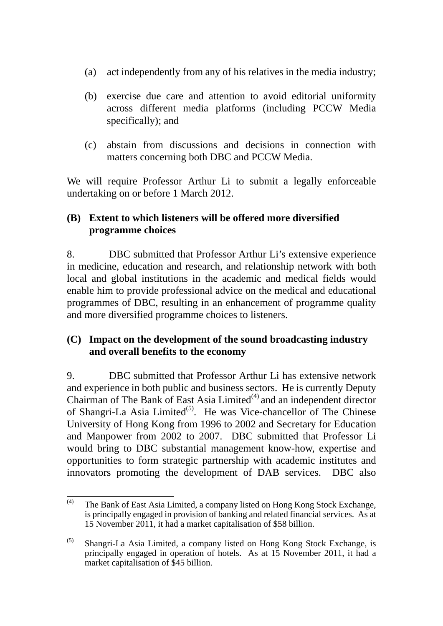- (a) act independently from any of his relatives in the media industry;
- (b) exercise due care and attention to avoid editorial uniformity across different media platforms (including PCCW Media specifically); and
- (c) abstain from discussions and decisions in connection with matters concerning both DBC and PCCW Media.

We will require Professor Arthur Li to submit a legally enforceable undertaking on or before 1 March 2012.

## **(B) Extent to which listeners will be offered more diversified programme choices**

8. DBC submitted that Professor Arthur Li's extensive experience in medicine, education and research, and relationship network with both local and global institutions in the academic and medical fields would enable him to provide professional advice on the medical and educational programmes of DBC, resulting in an enhancement of programme quality and more diversified programme choices to listeners.

## **(C) Impact on the development of the sound broadcasting industry and overall benefits to the economy**

9. DBC submitted that Professor Arthur Li has extensive network and experience in both public and business sectors. He is currently Deputy Chairman of The Bank of East Asia Limited $^{(4)}$  and an independent director of Shangri-La Asia Limited<sup> $(5)$ </sup>. He was Vice-chancellor of The Chinese University of Hong Kong from 1996 to 2002 and Secretary for Education and Manpower from 2002 to 2007. DBC submitted that Professor Li would bring to DBC substantial management know-how, expertise and opportunities to form strategic partnership with academic institutes and innovators promoting the development of DAB services. DBC also

 $(4)$ The Bank of East Asia Limited, a company listed on Hong Kong Stock Exchange, is principally engaged in provision of banking and related financial services. As at 15 November 2011, it had a market capitalisation of \$58 billion.

<sup>(5)</sup> Shangri-La Asia Limited, a company listed on Hong Kong Stock Exchange, is principally engaged in operation of hotels. As at 15 November 2011, it had a market capitalisation of \$45 billion.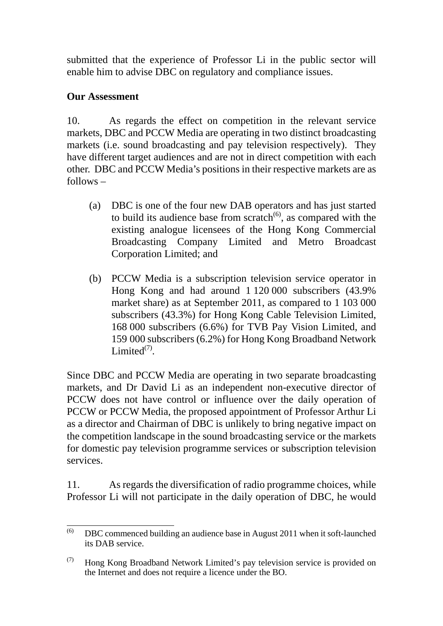submitted that the experience of Professor Li in the public sector will enable him to advise DBC on regulatory and compliance issues.

### **Our Assessment**

10. As regards the effect on competition in the relevant service markets, DBC and PCCW Media are operating in two distinct broadcasting markets (i.e. sound broadcasting and pay television respectively). They have different target audiences and are not in direct competition with each other. DBC and PCCW Media's positions in their respective markets are as follows –

- (a) DBC is one of the four new DAB operators and has just started to build its audience base from scratch $^{(6)}$ , as compared with the existing analogue licensees of the Hong Kong Commercial Broadcasting Company Limited and Metro Broadcast Corporation Limited; and
- (b) PCCW Media is a subscription television service operator in Hong Kong and had around 1 120 000 subscribers (43.9% market share) as at September 2011, as compared to 1 103 000 subscribers (43.3%) for Hong Kong Cable Television Limited, 168 000 subscribers (6.6%) for TVB Pay Vision Limited, and 159 000 subscribers (6.2%) for Hong Kong Broadband Network Limited $(7)$ .

Since DBC and PCCW Media are operating in two separate broadcasting markets, and Dr David Li as an independent non-executive director of PCCW does not have control or influence over the daily operation of PCCW or PCCW Media, the proposed appointment of Professor Arthur Li as a director and Chairman of DBC is unlikely to bring negative impact on the competition landscape in the sound broadcasting service or the markets for domestic pay television programme services or subscription television services.

11. As regards the diversification of radio programme choices, while Professor Li will not participate in the daily operation of DBC, he would

 $(6)$ (6) DBC commenced building an audience base in August 2011 when it soft-launched its DAB service.

 $(7)$  Hong Kong Broadband Network Limited's pay television service is provided on the Internet and does not require a licence under the BO.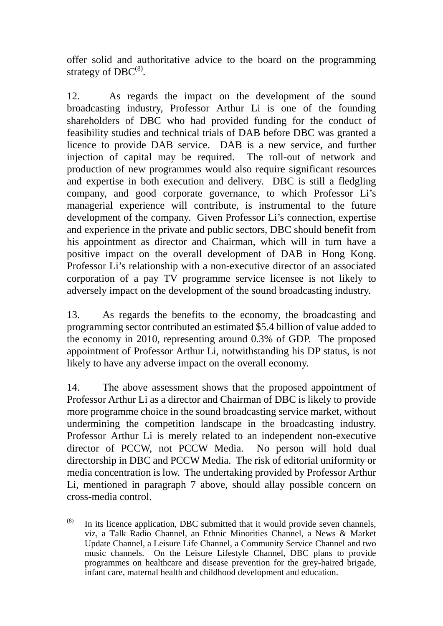offer solid and authoritative advice to the board on the programming strategy of  $DBC^{(8)}$ .

12. As regards the impact on the development of the sound broadcasting industry, Professor Arthur Li is one of the founding shareholders of DBC who had provided funding for the conduct of feasibility studies and technical trials of DAB before DBC was granted a licence to provide DAB service. DAB is a new service, and further injection of capital may be required. The roll-out of network and production of new programmes would also require significant resources and expertise in both execution and delivery. DBC is still a fledgling company, and good corporate governance, to which Professor Li's managerial experience will contribute, is instrumental to the future development of the company. Given Professor Li's connection, expertise and experience in the private and public sectors, DBC should benefit from his appointment as director and Chairman, which will in turn have a positive impact on the overall development of DAB in Hong Kong. Professor Li's relationship with a non-executive director of an associated corporation of a pay TV programme service licensee is not likely to adversely impact on the development of the sound broadcasting industry.

13. As regards the benefits to the economy, the broadcasting and programming sector contributed an estimated \$5.4 billion of value added to the economy in 2010, representing around 0.3% of GDP. The proposed appointment of Professor Arthur Li, notwithstanding his DP status, is not likely to have any adverse impact on the overall economy.

14. The above assessment shows that the proposed appointment of Professor Arthur Li as a director and Chairman of DBC is likely to provide more programme choice in the sound broadcasting service market, without undermining the competition landscape in the broadcasting industry. Professor Arthur Li is merely related to an independent non-executive director of PCCW, not PCCW Media. No person will hold dual directorship in DBC and PCCW Media. The risk of editorial uniformity or media concentration is low. The undertaking provided by Professor Arthur Li, mentioned in paragraph 7 above, should allay possible concern on cross-media control.

 $(8)$ In its licence application, DBC submitted that it would provide seven channels, viz, a Talk Radio Channel, an Ethnic Minorities Channel, a News & Market Update Channel, a Leisure Life Channel, a Community Service Channel and two music channels. On the Leisure Lifestyle Channel, DBC plans to provide programmes on healthcare and disease prevention for the grey-haired brigade, infant care, maternal health and childhood development and education.